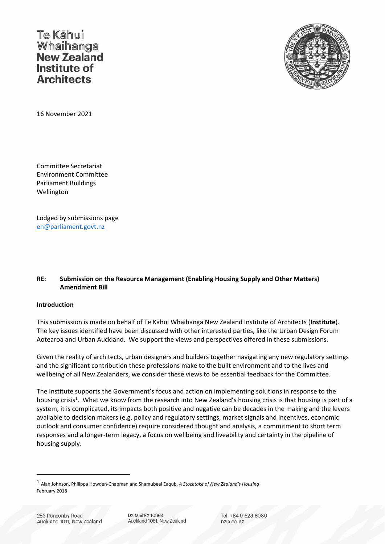Te Kāhui Whaihanga Institute of **Architects** 



16 November 2021

Committee Secretariat Environment Committee Parliament Buildings Wellington

Lodged by submissions page en@parliament.govt.nz

## **RE: Submission on the Resource Management (Enabling Housing Supply and Other Matters) Amendment Bill**

### **Introduction**

This submission is made on behalf of Te Kāhui Whaihanga New Zealand Institute of Architects (**Institute**). The key issues identified have been discussed with other interested parties, like the Urban Design Forum Aotearoa and Urban Auckland. We support the views and perspectives offered in these submissions.

Given the reality of architects, urban designers and builders together navigating any new regulatory settings and the significant contribution these professions make to the built environment and to the lives and wellbeing of all New Zealanders, we consider these views to be essential feedback for the Committee.

The Institute supports the Government's focus and action on implementing solutions in response to the housing crisis<sup>1</sup>. What we know from the research into New Zealand's housing crisis is that housing is part of a system, it is complicated, its impacts both positive and negative can be decades in the making and the levers available to decision makers (e.g. policy and regulatory settings, market signals and incentives, economic outlook and consumer confidence) require considered thought and analysis, a commitment to short term responses and a longer-term legacy, a focus on wellbeing and liveability and certainty in the pipeline of housing supply.

<sup>1</sup> Alan Johnson, Philippa Howden‐Chapman and Shamubeel Eaqub, *<sup>A</sup> Stocktake of New Zealand's Housing* February 2018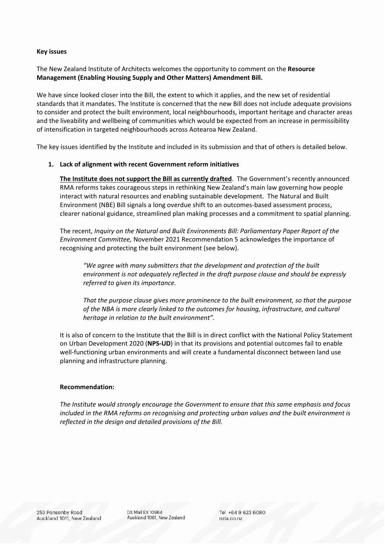#### **Key issues**

The New Zealand Institute of Architects welcomes the opportunity to comment on the **Resource Management (Enabling Housing Supply and Other Matters) Amendment Bill.** 

We have since looked closer into the Bill, the extent to which it applies, and the new set of residential standards that it mandates. The Institute is concerned that the new Bill does not include adequate provisions to consider and protect the built environment, local neighbourhoods, important heritage and character areas and the liveability and wellbeing of communities which would be expected from an increase in permissibility of intensification in targeted neighbourhoods across Aotearoa New Zealand.

The key issues identified by the Institute and included in its submission and that of others is detailed below.

### **1. Lack of alignment with recent Government reform initiatives**

**The Institute does not support the Bill as currently drafted**. The Government's recently announced RMA reforms takes courageous steps in rethinking New Zealand's main law governing how people interact with natural resources and enabling sustainable development. The Natural and Built Environment (NBE) Bill signals a long overdue shift to an outcomes‐based assessment process, clearer national guidance, streamlined plan making processes and a commitment to spatial planning.

The recent, *Inquiry on the Natural and Built Environments Bill: Parliamentary Paper Report of the Environment Committee,* November 2021 Recommendation 5 acknowledges the importance of recognising and protecting the built environment (see below).

*"We agree with many submitters that the development and protection of the built environment is not adequately reflected in the draft purpose clause and should be expressly referred to given its importance.*

*That the purpose clause gives more prominence to the built environment, so that the purpose of the NBA is more clearly linked to the outcomes for housing, infrastructure, and cultural heritage in relation to the built environment".*

It is also of concern to the Institute that the Bill is in direct conflict with the National Policy Statement on Urban Development 2020 (**NPS‐UD**) in that its provisions and potential outcomes fail to enable well-functioning urban environments and will create a fundamental disconnect between land use planning and infrastructure planning.

#### **Recommendation:**

*The Institute would strongly encourage the Government to ensure that this same emphasis and focus included in the RMA reforms on recognising and protecting urban values and the built environment is reflected in the design and detailed provisions of the Bill.* 

DX Mail EX 10964 Auckland 1061, New Zealand Tel +64 9 623 6080 nzia.co.nz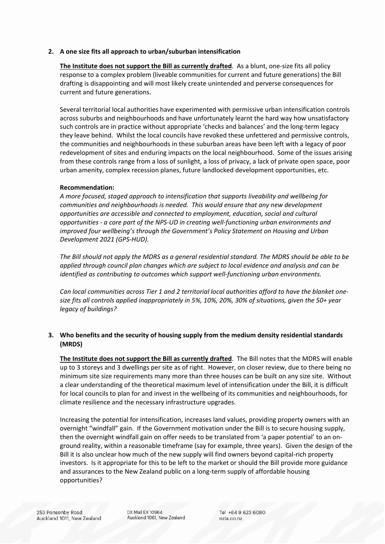## **2. A one size fits all approach to urban/suburban intensification**

**The Institute does not support the Bill as currently drafted**. As a blunt, one‐size fits all policy response to a complex problem (liveable communities for current and future generations) the Bill drafting is disappointing and will most likely create unintended and perverse consequences for current and future generations.

Several territorial local authorities have experimented with permissive urban intensification controls across suburbs and neighbourhoods and have unfortunately learnt the hard way how unsatisfactory such controls are in practice without appropriate 'checks and balances' and the long‐term legacy they leave behind. Whilst the local councils have revoked these unfettered and permissive controls, the communities and neighbourhoods in these suburban areas have been left with a legacy of poor redevelopment of sites and enduring impacts on the local neighbourhood. Some of the issues arising from these controls range from a loss of sunlight, a loss of privacy, a lack of private open space, poor urban amenity, complex recession planes, future landlocked development opportunities, etc.

### **Recommendation:**

*A more focused, staged approach to intensification that supports liveability and wellbeing for communities and neighbourhoods is needed. This would ensure that any new development opportunities are accessible and connected to employment, education, social and cultural opportunities ‐ a core part of the NPS‐UD in creating well‐functioning urban environments and improved four wellbeing's through the Government's Policy Statement on Housing and Urban Development 2021 (GPS‐HUD).*

The Bill should not apply the MDRS as a general residential standard. The MDRS should be able to be *applied through council plan changes which are subject to local evidence and analysis and can be identified as contributing to outcomes which support well‐functioning urban environments.* 

Can local communities across Tier 1 and 2 territorial local authorities afford to have the blanket one*size fits all controls applied inappropriately in 5%, 10%, 20%, 30% of situations, given the 50+ year legacy of buildings?* 

# **3. Who benefits and the security of housing supply from the medium density residential standards (MRDS)**

**The Institute does not support the Bill as currently drafted**. The Bill notes that the MDRS will enable up to 3 storeys and 3 dwellings per site as of right. However, on closer review, due to there being no minimum site size requirements many more than three houses can be built on any size site. Without a clear understanding of the theoretical maximum level of intensification under the Bill, it is difficult for local councils to plan for and invest in the wellbeing of its communities and neighbourhoods, for climate resilience and the necessary infrastructure upgrades.

Increasing the potential for intensification, increases land values, providing property owners with an overnight "windfall" gain. If the Government motivation under the Bill is to secure housing supply, then the overnight windfall gain on offer needs to be translated from 'a paper potential' to an on‐ ground reality, within a reasonable timeframe (say for example, three years). Given the design of the Bill it is also unclear how much of the new supply will find owners beyond capital‐rich property investors. Is it appropriate for this to be left to the market or should the Bill provide more guidance and assurances to the New Zealand public on a long‐term supply of affordable housing opportunities?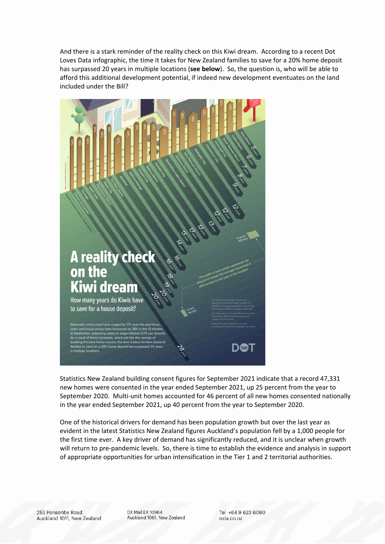And there is a stark reminder of the reality check on this Kiwi dream. According to a recent Dot Loves Data infographic, the time it takes for New Zealand families to save for a 20% home deposit has surpassed 20 years in multiple locations (**see below**). So, the question is, who will be able to afford this additional development potential, if indeed new development eventuates on the land included under the Bill?



Statistics New Zealand building consent figures for September 2021 indicate that a record 47,331 new homes were consented in the year ended September 2021, up 25 percent from the year to September 2020. Multi-unit homes accounted for 46 percent of all new homes consented nationally in the year ended September 2021, up 40 percent from the year to September 2020.

One of the historical drivers for demand has been population growth but over the last year as evident in the latest Statistics New Zealand figures Auckland's population fell by a 1,000 people for the first time ever. A key driver of demand has significantly reduced, and it is unclear when growth will return to pre-pandemic levels. So, there is time to establish the evidence and analysis in support of appropriate opportunities for urban intensification in the Tier 1 and 2 territorial authorities.

DX Mail EX 10964 Auckland 1061, New Zealand Tel +64 9 623 6080 nzia.co.nz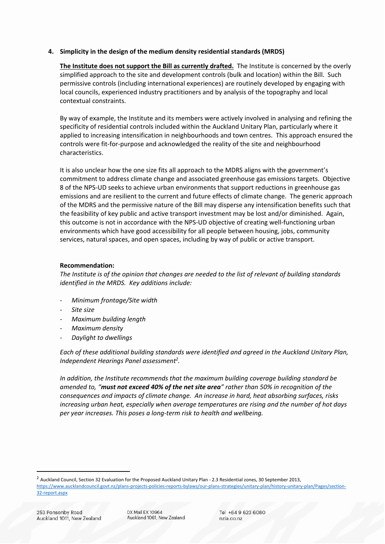## **4. Simplicity in the design of the medium density residential standards (MRDS)**

**The Institute does not support the Bill as currently drafted.** The Institute is concerned by the overly simplified approach to the site and development controls (bulk and location) within the Bill. Such permissive controls (including international experiences) are routinely developed by engaging with local councils, experienced industry practitioners and by analysis of the topography and local contextual constraints.

By way of example, the Institute and its members were actively involved in analysing and refining the specificity of residential controls included within the Auckland Unitary Plan, particularly where it applied to increasing intensification in neighbourhoods and town centres. This approach ensured the controls were fit‐for‐purpose and acknowledged the reality of the site and neighbourhood characteristics.

It is also unclear how the one size fits all approach to the MDRS aligns with the government's commitment to address climate change and associated greenhouse gas emissions targets. Objective 8 of the NPS‐UD seeks to achieve urban environments that support reductions in greenhouse gas emissions and are resilient to the current and future effects of climate change. The generic approach of the MDRS and the permissive nature of the Bill may disperse any intensification benefits such that the feasibility of key public and active transport investment may be lost and/or diminished. Again, this outcome is not in accordance with the NPS-UD objective of creating well-functioning urban environments which have good accessibility for all people between housing, jobs, community services, natural spaces, and open spaces, including by way of public or active transport.

### **Recommendation:**

The Institute is of the opinion that changes are needed to the list of relevant of building standards *identified in the MRDS. Key additions include:*

- ‐ *Minimum frontage/Site width*
- ‐ *Site size*
- ‐ *Maximum building length*
- ‐ *Maximum density*
- ‐ *Daylight to dwellings*

*Each of these additional building standards were identified and agreed in the Auckland Unitary Plan, Independent Hearings Panel assessment2 .* 

*In addition, the Institute recommends that the maximum building coverage building standard be* amended to, "must not exceed 40% of the net site area" rather than 50% in recognition of the *consequences and impacts of climate change. An increase in hard, heat absorbing surfaces, risks increasing urban heat, especially when average temperatures are rising and the number of hot days per year increases. This poses a long‐term risk to health and wellbeing.*

<sup>2</sup> Auckland Council, Section 32 Evaluation for the Proposed Auckland Unitary Plan - 2.3 Residential zones, 30 September 2013, https://www.aucklandcouncil.govt.nz/plans‐projects‐policies‐reports‐bylaws/our‐plans‐strategies/unitary‐plan/history‐unitary‐plan/Pages/section‐ 32‐report.aspx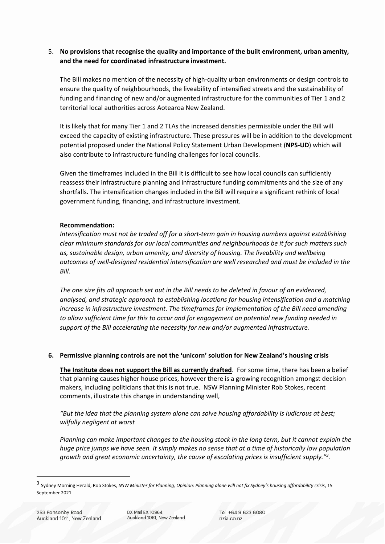# 5. **No provisions that recognise the quality and importance of the built environment, urban amenity, and the need for coordinated infrastructure investment.**

The Bill makes no mention of the necessity of high‐quality urban environments or design controls to ensure the quality of neighbourhoods, the liveability of intensified streets and the sustainability of funding and financing of new and/or augmented infrastructure for the communities of Tier 1 and 2 territorial local authorities across Aotearoa New Zealand.

It is likely that for many Tier 1 and 2 TLAs the increased densities permissible under the Bill will exceed the capacity of existing infrastructure. These pressures will be in addition to the development potential proposed under the National Policy Statement Urban Development (**NPS‐UD**) which will also contribute to infrastructure funding challenges for local councils.

Given the timeframes included in the Bill it is difficult to see how local councils can sufficiently reassess their infrastructure planning and infrastructure funding commitments and the size of any shortfalls. The intensification changes included in the Bill will require a significant rethink of local government funding, financing, and infrastructure investment.

## **Recommendation:**

*Intensification must not be traded off for a short‐term gain in housing numbers against establishing clear minimum standards for our local communities and neighbourhoods be it for such matters such as, sustainable design, urban amenity, and diversity of housing. The liveability and wellbeing outcomes of well‐designed residential intensification are well researched and must be included in the Bill.*

The one size fits all approach set out in the Bill needs to be deleted in favour of an evidenced, *analysed, and strategic approach to establishing locations for housing intensification and a matching increase in infrastructure investment. The timeframes for implementation of the Bill need amending to allow sufficient time for this to occur and for engagement on potential new funding needed in support of the Bill accelerating the necessity for new and/or augmented infrastructure.*

# **6. Permissive planning controls are not the 'unicorn' solution for New Zealand's housing crisis**

**The Institute does not support the Bill as currently drafted**. For some time, there has been a belief that planning causes higher house prices, however there is a growing recognition amongst decision makers, including politicians that this is not true. NSW Planning Minister Rob Stokes, recent comments, illustrate this change in understanding well,

*"But the idea that the planning system alone can solve housing affordability is ludicrous at best; wilfully negligent at worst*

Planning can make important changes to the housing stock in the long term, but it cannot explain the huge price jumps we have seen. It simply makes no sense that at a time of historically low population *growth and great economic uncertainty, the cause of escalating prices is insufficient supply."3 .*

<sup>&</sup>lt;sup>3</sup> Sydney Morning Herald, Rob Stokes, NSW Minister for Planning, Opinion: Planning alone will not fix Sydney's housing affordability crisis, 15 September 2021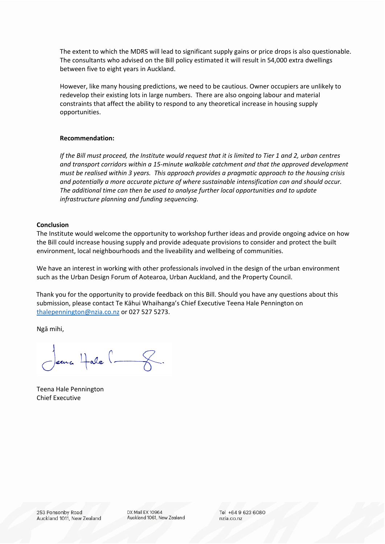The extent to which the MDRS will lead to significant supply gains or price drops is also questionable. The consultants who advised on the Bill policy estimated it will result in 54,000 extra dwellings between five to eight years in Auckland.

However, like many housing predictions, we need to be cautious. Owner occupiers are unlikely to redevelop their existing lots in large numbers. There are also ongoing labour and material constraints that affect the ability to respond to any theoretical increase in housing supply opportunities.

### **Recommendation:**

If the Bill must proceed, the Institute would request that it is limited to Tier 1 and 2, urban centres *and transport corridors within a 15‐minute walkable catchment and that the approved development must be realised within 3 years. This approach provides a pragmatic approach to the housing crisis and potentially a more accurate picture of where sustainable intensification can and should occur. The additional time can then be used to analyse further local opportunities and to update infrastructure planning and funding sequencing.* 

#### **Conclusion**

The Institute would welcome the opportunity to workshop further ideas and provide ongoing advice on how the Bill could increase housing supply and provide adequate provisions to consider and protect the built environment, local neighbourhoods and the liveability and wellbeing of communities.

We have an interest in working with other professionals involved in the design of the urban environment such as the Urban Design Forum of Aotearoa, Urban Auckland, and the Property Council.

Thank you for the opportunity to provide feedback on this Bill. Should you have any questions about this submission, please contact Te Kāhui Whaihanga's Chief Executive Teena Hale Pennington on thalepennington@nzia.co.nz or 027 527 5273.

Ngā mihi,

Jeans Hale l-8.

Teena Hale Pennington Chief Executive